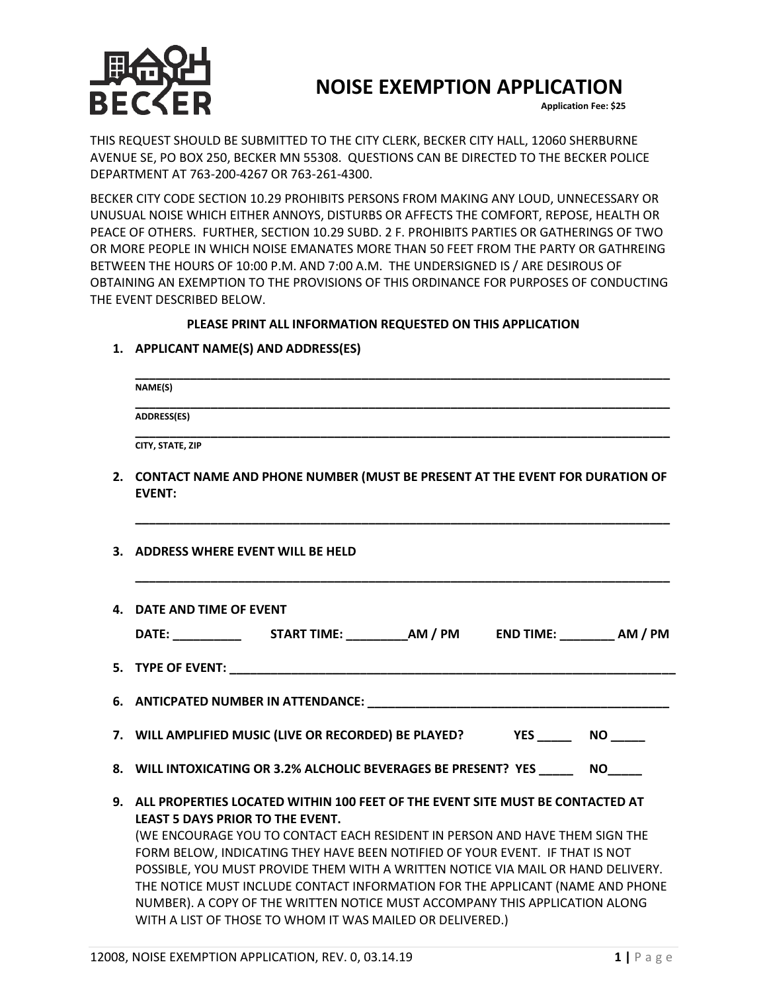

## **NOISE EXEMPTION APPLICATION**

**Application Fee: \$25**

THIS REQUEST SHOULD BE SUBMITTED TO THE CITY CLERK, BECKER CITY HALL, 12060 SHERBURNE AVENUE SE, PO BOX 250, BECKER MN 55308. QUESTIONS CAN BE DIRECTED TO THE BECKER POLICE DEPARTMENT AT 763-200-4267 OR 763-261-4300.

BECKER CITY CODE SECTION 10.29 PROHIBITS PERSONS FROM MAKING ANY LOUD, UNNECESSARY OR UNUSUAL NOISE WHICH EITHER ANNOYS, DISTURBS OR AFFECTS THE COMFORT, REPOSE, HEALTH OR PEACE OF OTHERS. FURTHER, SECTION 10.29 SUBD. 2 F. PROHIBITS PARTIES OR GATHERINGS OF TWO OR MORE PEOPLE IN WHICH NOISE EMANATES MORE THAN 50 FEET FROM THE PARTY OR GATHREING BETWEEN THE HOURS OF 10:00 P.M. AND 7:00 A.M. THE UNDERSIGNED IS / ARE DESIROUS OF OBTAINING AN EXEMPTION TO THE PROVISIONS OF THIS ORDINANCE FOR PURPOSES OF CONDUCTING THE EVENT DESCRIBED BELOW.

## **PLEASE PRINT ALL INFORMATION REQUESTED ON THIS APPLICATION**

**1. APPLICANT NAME(S) AND ADDRESS(ES)**

| NAME(S)                                                                                                                                                                                                                                                                                                                                                                                                                                                                                                                                                                                                     |
|-------------------------------------------------------------------------------------------------------------------------------------------------------------------------------------------------------------------------------------------------------------------------------------------------------------------------------------------------------------------------------------------------------------------------------------------------------------------------------------------------------------------------------------------------------------------------------------------------------------|
| <b>ADDRESS(ES)</b>                                                                                                                                                                                                                                                                                                                                                                                                                                                                                                                                                                                          |
| CITY, STATE, ZIP                                                                                                                                                                                                                                                                                                                                                                                                                                                                                                                                                                                            |
| 2. CONTACT NAME AND PHONE NUMBER (MUST BE PRESENT AT THE EVENT FOR DURATION OF<br><b>EVENT:</b>                                                                                                                                                                                                                                                                                                                                                                                                                                                                                                             |
| 3. ADDRESS WHERE EVENT WILL BE HELD                                                                                                                                                                                                                                                                                                                                                                                                                                                                                                                                                                         |
| 4. DATE AND TIME OF EVENT                                                                                                                                                                                                                                                                                                                                                                                                                                                                                                                                                                                   |
| DATE: START TIME: AM / PM END TIME: AM / PM                                                                                                                                                                                                                                                                                                                                                                                                                                                                                                                                                                 |
|                                                                                                                                                                                                                                                                                                                                                                                                                                                                                                                                                                                                             |
|                                                                                                                                                                                                                                                                                                                                                                                                                                                                                                                                                                                                             |
| 7. WILL AMPLIFIED MUSIC (LIVE OR RECORDED) BE PLAYED? YES NO                                                                                                                                                                                                                                                                                                                                                                                                                                                                                                                                                |
| 8. WILL INTOXICATING OR 3.2% ALCHOLIC BEVERAGES BE PRESENT? YES ________ NO                                                                                                                                                                                                                                                                                                                                                                                                                                                                                                                                 |
| 9. ALL PROPERTIES LOCATED WITHIN 100 FEET OF THE EVENT SITE MUST BE CONTACTED AT<br><b>LEAST 5 DAYS PRIOR TO THE EVENT.</b><br>(WE ENCOURAGE YOU TO CONTACT EACH RESIDENT IN PERSON AND HAVE THEM SIGN THE<br>FORM BELOW, INDICATING THEY HAVE BEEN NOTIFIED OF YOUR EVENT. IF THAT IS NOT<br>POSSIBLE, YOU MUST PROVIDE THEM WITH A WRITTEN NOTICE VIA MAIL OR HAND DELIVERY.<br>THE NOTICE MUST INCLUDE CONTACT INFORMATION FOR THE APPLICANT (NAME AND PHONE<br>NUMBER). A COPY OF THE WRITTEN NOTICE MUST ACCOMPANY THIS APPLICATION ALONG<br>WITH A LIST OF THOSE TO WHOM IT WAS MAILED OR DELIVERED.) |
|                                                                                                                                                                                                                                                                                                                                                                                                                                                                                                                                                                                                             |